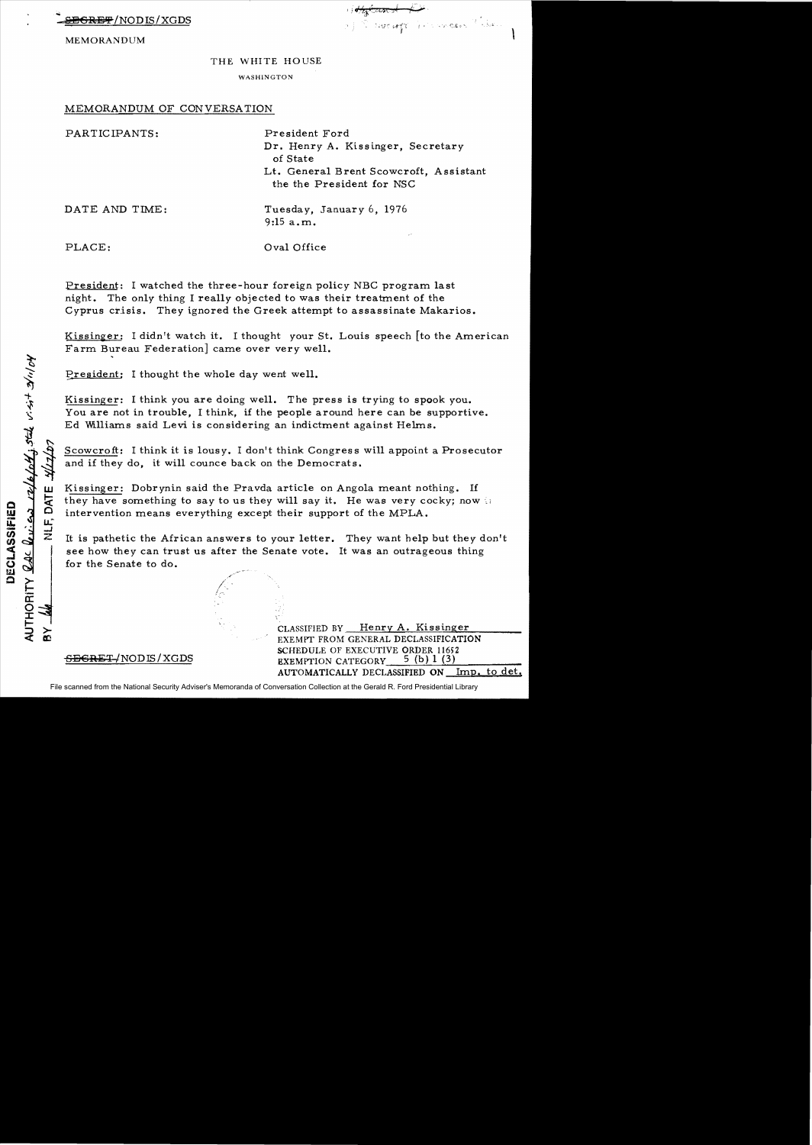$\overline{\text{SREF}}$ /NODIS/XGDS

 $\mathcal{F}$  ,  $\mathcal{F}$  ,  $\mathcal{F}$  ,  $\mathcal{F}$  ,  $\mathcal{F}$  ,  $\mathcal{F}$  ,  $\mathcal{F}$  ,  $\mathcal{F}$  $\ddot{\phantom{0}}$  $\mathbb{R}$  of the conception of  $\mathbb{R}$  ,  $\mathbb{R}$ 

 $\begin{matrix} \end{matrix}$ 

MEMORANDUM

## THE WHITE HOUSE

WASHINGTON

## MEMORANDUM OF CONVERSATION

PARTICIPANTS: President Ford Dr. Henry A. Kissinger, Secretary of State Lt. General Brent Scowcroft, Assistant the the President for NSC

DATE AND TIME:

Tuesday, January 6, 1976 9:15 a.m.

PLACE:

w

!d: o

AUTHORITY <u>RAC Review rate/off;</u> stile visit 2/11/04

DECLASSIFIED

u: ...J z

 $\geq$ 

Oval Office

President: I watched the three-hour foreign policy NBC program last night. The only thing I really objected to was their treatment of the Cyprus crisis. They ignored the Greek attempt to assassinate Makarios.

Kissinger: I didn't watch it. I thought your St. Louis speech [to the American Farm Bureau Federation] came over very well.

President: I thought the whole day went well.

Kissinger: I think you are doing well. The press is trying to spook you. You are not in trouble, I think, if the people around here can be supportive. Ed Williams said Levi is considering an indictment against Helms.

Scowcroft: I think it is lousy. I don't think Congress will appoint a Prosecutor and if they do, it will counce back on the Democrats.

Kissinger: Dobrynin said the Pravda article on Angola meant nothing. If they have something to say to us they will say it. He was very cocky; now  $\mathbb{D}$ intervention means everything except their support of the MPLA.

It is pathetic the African answers to your letter. They want help but they don't see how they can trust us after the Senate vote. It was an outrageous thing for the Senate to do.

> CLASSIFIED BY Henry A. Kissinger EXEMPT FROM GENERAL DECLASSIFICATION SCHEDULE OF EXECUTIVE ORDER 11652 EXEMPTION CATEGORY  $5$  (b) 1 (3) AUTOMATICALLY DECLASSIFIED ON Imp. to det.

SECRET *!NODIS/XGDS* 

File scanned from the National Security Adviser's Memoranda of Conversation Collection at the Gerald R. Ford Presidential Library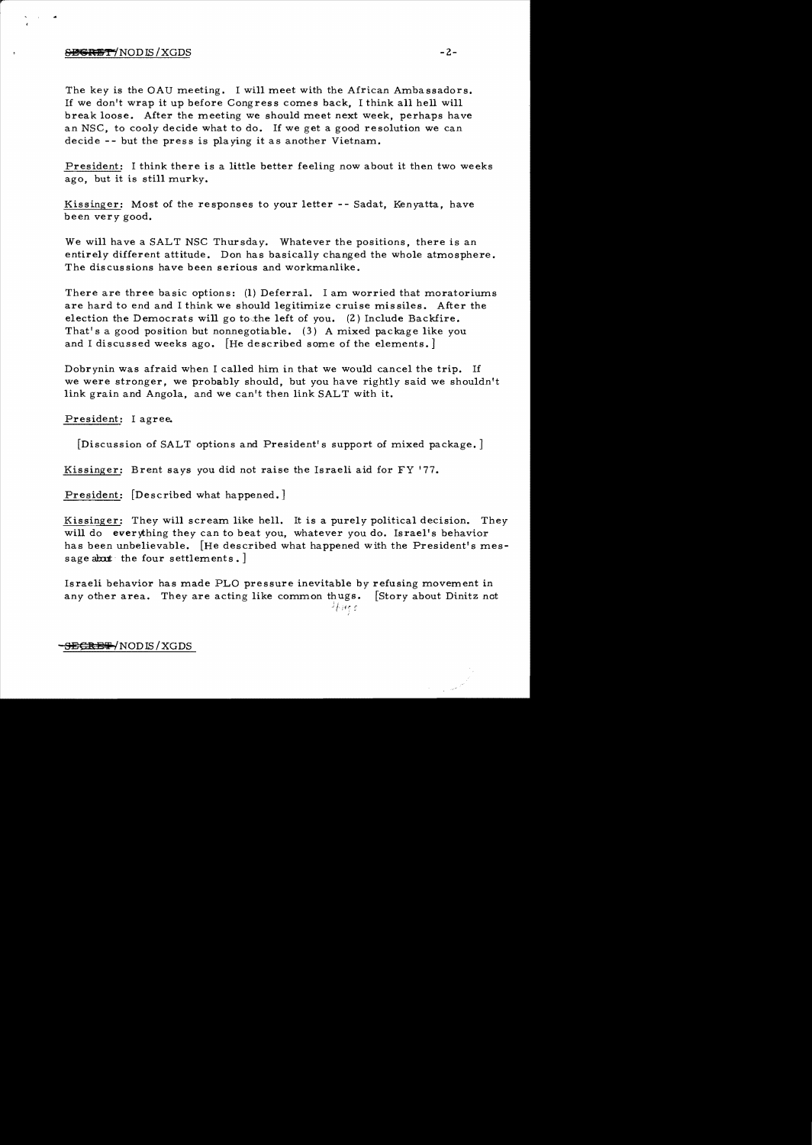## SECRET/NODIS/XGDS

The key is the OAU meeting. I will meet with the African Ambassadors. If we don't wrap it up before Congress comes back, I think all hell will break loose. After the meeting we should meet next week, perhaps have an NSC, to cooly decide what to do. If we get a good resolution we can decide -- but the press is playing it as another Vietnam.

President: I think there is a little better feeling now about it then two weeks ago, but it is still murky.

Kissinger: Most of the responses to your letter -- Sadat, Kenyatta, have been *very* good.

We will have a SALT NSC Thursday. Whatever the positions, there is an entirely different attitude. Don has basically changed the whole atmosphere. The discussions have been serious and workmanlike.

There are three basic options: (1) Deferral. I am worried that moratoriums are hard to end and I think we should legitimize cruise mis siles. After the election the Democrats will go to the left of you.  $(2)$  Include Backfire. That's a good position but nonnegotiable. (3) A mixed package like you and I discussed weeks ago. [He described some of the elements.]

Dobrynin was afraid when I called him in that we would cancel the trip. If we were stronger, we probably should, but you have rightly said we shouldn't link grain and Angola, and we can't then link SALT with it.

President: I agree.

[Discussion of SALT options and President's support of mixed package. ]

Kissinger: Brent says you did not raise the Israeli aid for FY '77.

President: [Described what happened.]

Kissinger: They will scream like hell. It is a purely political decision. They will do everything they can to beat you, whatever you do. Israel's behavior has been unbelievable. [He described what happened with the President's message about the four settlements.

Israeli behavior has made PLO pressure inevitable by refusing movement in any other area. They are acting like common thugs. [Story about Dinitz not  $^{1}$  in  $\mathfrak{c}$  . /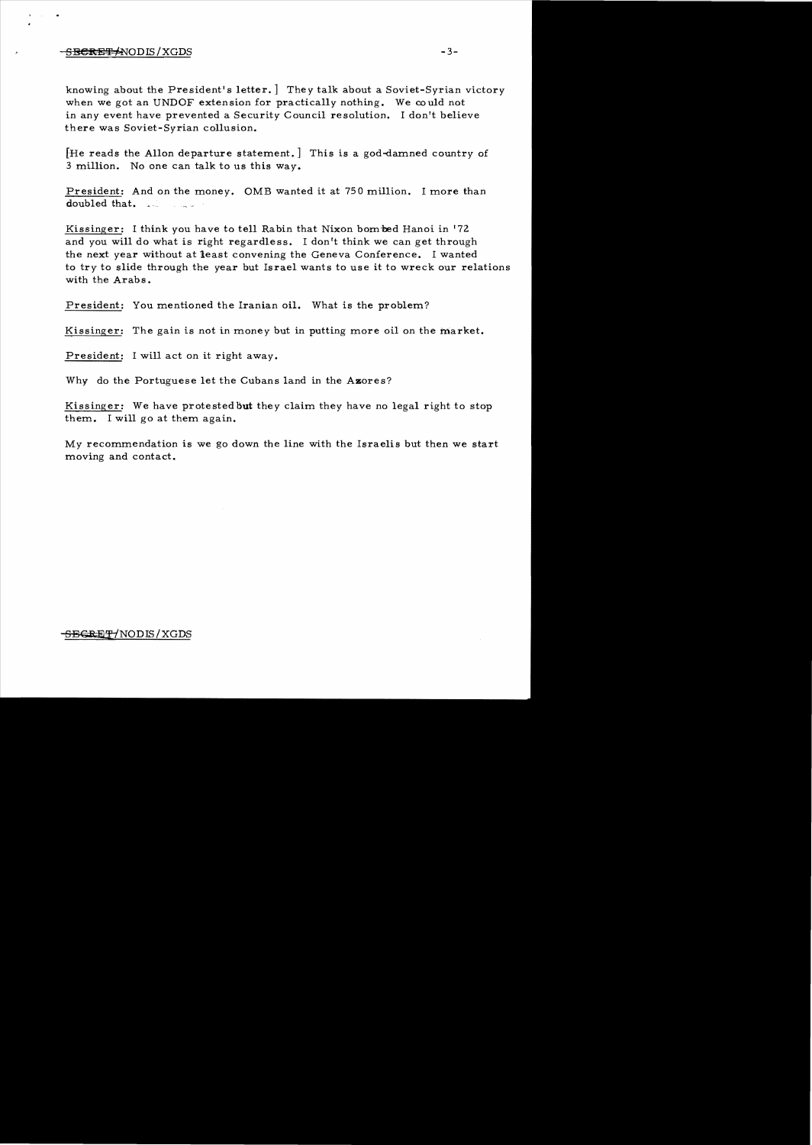## $-$ <del>SECRET/</del>NODIS/XGDS  $-$ 3-

knowing about the President's letter.] The y talk about a Soviet-Syrian victory when we got an UNDOF extension for practically nothing. We could not in any event have prevented a Security Council resolution. I don't believe there was Soviet-Syrian collusion.

[He reads the Allon departure statement.] This is a god-damned country of 3 million. No one can talk to us this way.

President: And on the money. OMB wanted it at 750 million. I more than doubled that.

Kissinger: I think you have to tell Rabin that Nixon bom bed Hanoi in '72 and you will do what is right regardless. I don't think we can get through the next year without at least convening the Geneva Conference. I wanted to try to slide through the year but Israel wants to use it to wreck our relations with the Arabs.

President: You mentioned the Iranian oil. What is the problem?

Kissinger: The gain is not in money but in putting more oil on the market.

President: I will act on it right away.

Why do the Portuguese let the Cubans land in the Azores?

Kissinger: We have protested **But** they claim they have no legal right to stop them. I will go at them again.

*My* recommendation is we go down the line with the Israelis but then we start moving and contact.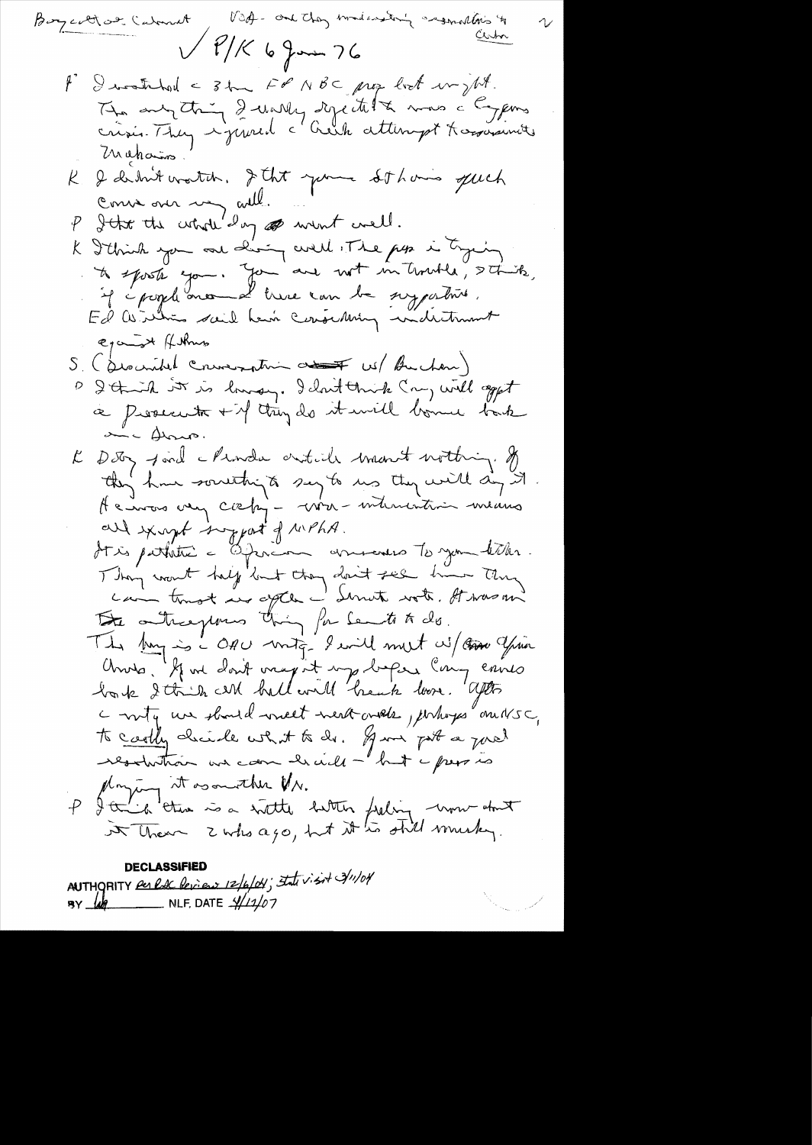DECLASSIFIED<br>AUTHORITY Per lac leview 12/6/04; Intervisit 3/11/04

 $\begin{split} \sum_{\substack{\mathbf{w} \in \mathcal{W} \\ \mathbf{w} \in \mathcal{W} \\ \mathbf{w} \in \mathcal{W} \\ \mathbf{w} \in \mathcal{W} \\ \mathbf{w} \in \mathcal{W} \\ \mathbf{w} \in \mathcal{W} \times \mathcal{W} \times \mathcal{W} \times \mathcal{W} \times \mathcal{W} \times \mathcal{W} \times \mathcal{W} \times \mathcal{W} \times \mathcal{W} \times \mathcal{W} \times \mathcal{W} \times \mathcal{W} \times \mathcal{W} \times \mathcal{W} \times \mathcal{W} \times \mathcal{W}$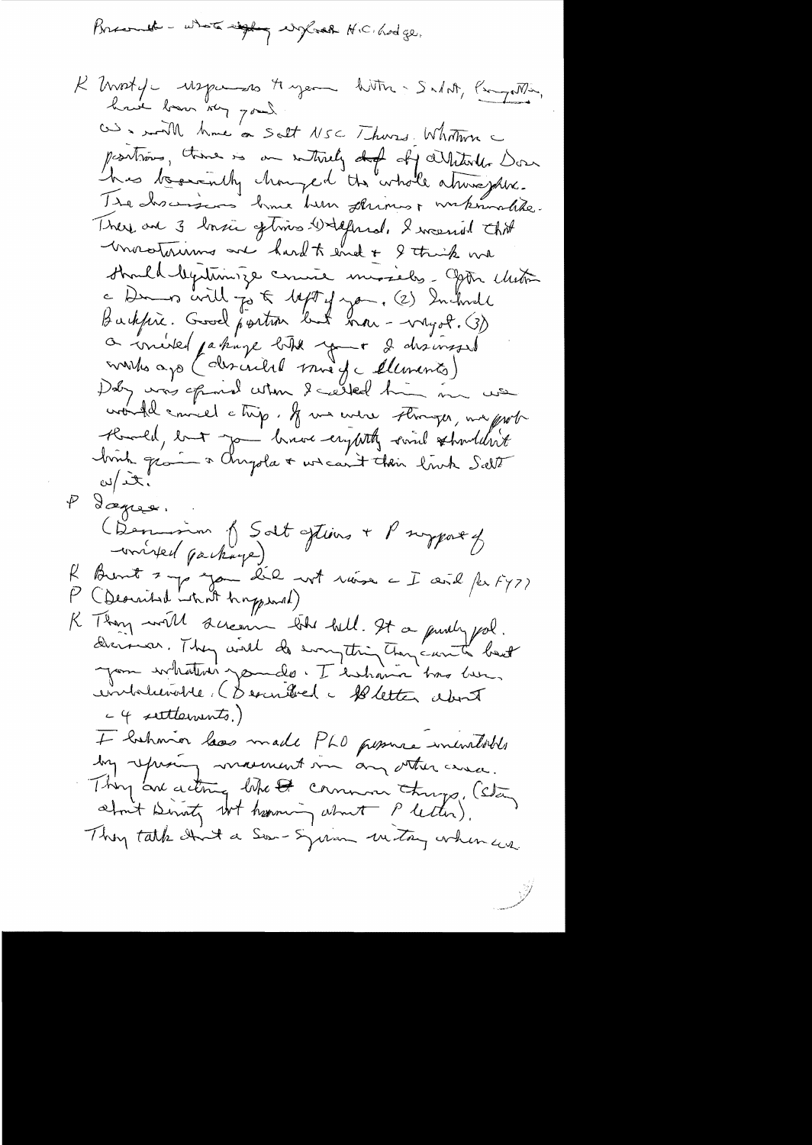Brespub - where 
$$
\frac{1}{2}
$$
 system  $H(C)$  body,

 $\frac{1}{2}$